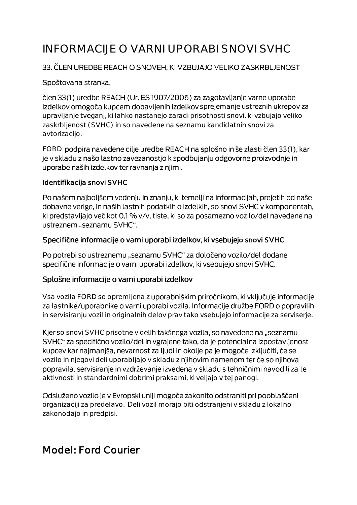# INFORMACIJE O VARNI UPORABI SNOVI SVHC

### 33. ČLEN UREDBE REACH O SNOVEH, KI VZBUJAJO VELIKO ZASKRBLJENOST

#### Spoštovana stranka,

člen 33(1) uredbe REACH (Ur. ES 1907/2006) za zagotavljanje varne uporabe izdelkov omogoča kupcem dobavljenih izdelkov sprejemanje ustreznih ukrepov za upravljanje tveganj, ki lahko nastanejo zaradi prisotnosti snovi, ki vzbujajo veliko zaskrbljenost (SVHC) in so navedene na seznamu kandidatnih snovi za avtorizacijo.

FORD podpira navedene cilje uredbe REACH na splošno in še zlasti člen 33(1), kar je v skladu z našo lastno zavezanostjo k spodbujanju odgovorne proizvodnje in uporabe naših izdelkov ter ravnanja z njimi.

#### Identifikacija snovi SVHC

Po našem najboljšem vedenju in znanju, ki temelji na informacijah, prejetih od naše dobavne verige, in naših lastnih podatkih o izdelkih, so snovi SVHC v komponentah, ki predstavljajo več kot 0,1 % v/v, tiste, ki so za posamezno vozilo/del navedene na ustreznem "seznamu SVHC".

#### Specifične informacije o varni uporabi izdelkov, ki vsebujejo snovi SVHC

Po potrebi so ustreznemu "seznamu SVHC" za določeno vozilo/del dodane specifične informacije o varni uporabi izdelkov, ki vsebujejo snovi SVHC.

#### Splošne informacije o varni uporabi izdelkov

Vsa vozila FORD so opremljena z uporabniškim priročnikom, ki vključuje informacije za lastnike/uporabnike o varni uporabi vozila. Informacije družbe FORD o popravilih in servisiranju vozil in originalnih delov prav tako vsebujejo informacije za serviserje.

Kjer so snovi SVHC prisotne v delih takšnega vozila, so navedene na "seznamu SVHC" za specifično vozilo/del in vgrajene tako, da je potencialna izpostavljenost kupcev kar najmanjša, nevarnost za ljudi in okolje pa je mogoče izključiti, če se vozilo in njegovi deli uporabljajo v skladu z njihovim namenom ter če so njihova popravila, servisiranje in vzdrževanje izvedena v skladu s tehničnimi navodili za te aktivnosti in standardnimi dobrimi praksami, ki veljajo v tej panogi.

Odsluženo vozilo je v Evropski uniji mogoče zakonito odstraniti pri pooblaščeni organizaciji za predelavo. Deli vozil morajo biti odstranjeni v skladu z lokalno zakonodajo in predpisi.

# Model: Ford Courier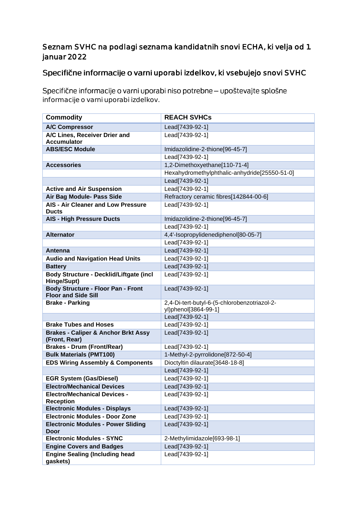## Seznam SVHC na podlagi seznama kandidatnih snovi ECHA, ki velja od 1. januar 2022

# Specifične informacije o varni uporabi izdelkov, ki vsebujejo snovi SVHC

Specifične informacije o varni uporabi niso potrebne - upoštevajte splošne informacije o varni uporabi izdelkov.

| <b>Commodity</b>                                                        | <b>REACH SVHCs</b>                            |
|-------------------------------------------------------------------------|-----------------------------------------------|
| <b>A/C Compressor</b>                                                   | Lead[7439-92-1]                               |
| A/C Lines, Receiver Drier and                                           | Lead[7439-92-1]                               |
| <b>Accumulator</b>                                                      |                                               |
| <b>ABS/ESC Module</b>                                                   | Imidazolidine-2-thione[96-45-7]               |
|                                                                         | Lead[7439-92-1]                               |
| <b>Accessories</b>                                                      | 1,2-Dimethoxyethane[110-71-4]                 |
|                                                                         | Hexahydromethylphthalic-anhydride[25550-51-0] |
|                                                                         | Lead[7439-92-1]                               |
| <b>Active and Air Suspension</b>                                        | Lead[7439-92-1]                               |
| Air Bag Module- Pass Side                                               | Refractory ceramic fibres[142844-00-6]        |
| <b>AIS - Air Cleaner and Low Pressure</b><br><b>Ducts</b>               | Lead[7439-92-1]                               |
| <b>AIS - High Pressure Ducts</b>                                        | Imidazolidine-2-thione[96-45-7]               |
|                                                                         | Lead[7439-92-1]                               |
| <b>Alternator</b>                                                       | 4,4'-Isopropylidenediphenol[80-05-7]          |
|                                                                         | Lead[7439-92-1]                               |
| <b>Antenna</b>                                                          | Lead[7439-92-1]                               |
| <b>Audio and Navigation Head Units</b>                                  | Lead[7439-92-1]                               |
| <b>Battery</b>                                                          | Lead[7439-92-1]                               |
| Body Structure - Decklid/Liftgate (incl<br>Hinge/Supt)                  | Lead[7439-92-1]                               |
| <b>Body Structure - Floor Pan - Front</b><br><b>Floor and Side Sill</b> | Lead[7439-92-1]                               |
| <b>Brake - Parking</b>                                                  | 2,4-Di-tert-butyl-6-(5-chlorobenzotriazol-2-  |
|                                                                         | yl)phenol[3864-99-1]                          |
|                                                                         | Lead[7439-92-1]                               |
| <b>Brake Tubes and Hoses</b>                                            | Lead[7439-92-1]                               |
| <b>Brakes - Caliper &amp; Anchor Brkt Assy</b><br>(Front, Rear)         | Lead[7439-92-1]                               |
| <b>Brakes - Drum (Front/Rear)</b>                                       | Lead[7439-92-1]                               |
| <b>Bulk Materials (PMT100)</b>                                          | 1-Methyl-2-pyrrolidone[872-50-4]              |
| <b>EDS Wiring Assembly &amp; Components</b>                             | Dioctyltin dilaurate[3648-18-8]               |
|                                                                         | Lead[7439-92-1]                               |
| <b>EGR System (Gas/Diesel)</b>                                          | Lead[7439-92-1]                               |
| <b>Electro/Mechanical Devices</b>                                       | Lead[7439-92-1]                               |
| <b>Electro/Mechanical Devices -</b><br><b>Reception</b>                 | Lead[7439-92-1]                               |
| <b>Electronic Modules - Displays</b>                                    | Lead[7439-92-1]                               |
| <b>Electronic Modules - Door Zone</b>                                   | Lead[7439-92-1]                               |
| <b>Electronic Modules - Power Sliding</b><br><b>Door</b>                | Lead[7439-92-1]                               |
| <b>Electronic Modules - SYNC</b>                                        | 2-Methylimidazole[693-98-1]                   |
| <b>Engine Covers and Badges</b>                                         | Lead[7439-92-1]                               |
| <b>Engine Sealing (Including head</b><br>gaskets)                       | Lead[7439-92-1]                               |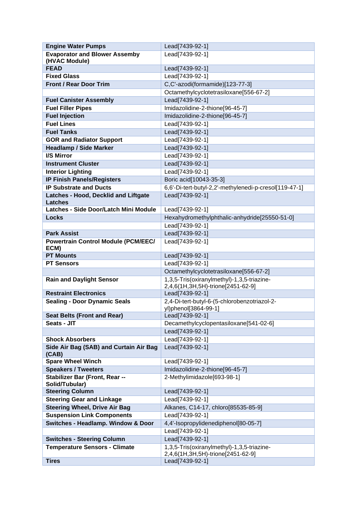| <b>Engine Water Pumps</b>                  | Lead[7439-92-1]                                                                 |
|--------------------------------------------|---------------------------------------------------------------------------------|
| <b>Evaporator and Blower Assemby</b>       | Lead[7439-92-1]                                                                 |
| (HVAC Module)                              |                                                                                 |
| <b>FEAD</b>                                | Lead[7439-92-1]                                                                 |
| <b>Fixed Glass</b>                         | Lead[7439-92-1]                                                                 |
| <b>Front / Rear Door Trim</b>              | C,C'-azodi(formamide)[123-77-3]                                                 |
|                                            | Octamethylcyclotetrasiloxane[556-67-2]                                          |
| <b>Fuel Canister Assembly</b>              | Lead[7439-92-1]                                                                 |
| <b>Fuel Filler Pipes</b>                   | Imidazolidine-2-thione[96-45-7]                                                 |
| <b>Fuel Injection</b>                      | Imidazolidine-2-thione[96-45-7]                                                 |
| <b>Fuel Lines</b>                          | Lead[7439-92-1]                                                                 |
| <b>Fuel Tanks</b>                          | Lead[7439-92-1]                                                                 |
| <b>GOR and Radiator Support</b>            | Lead[7439-92-1]                                                                 |
| <b>Headlamp / Side Marker</b>              | Lead[7439-92-1]                                                                 |
| I/S Mirror                                 | Lead[7439-92-1]                                                                 |
| <b>Instrument Cluster</b>                  | Lead[7439-92-1]                                                                 |
| <b>Interior Lighting</b>                   | Lead[7439-92-1]                                                                 |
| <b>IP Finish Panels/Registers</b>          | Boric acid[10043-35-3]                                                          |
| <b>IP Substrate and Ducts</b>              | 6,6'-Di-tert-butyl-2,2'-methylenedi-p-cresol[119-47-1]                          |
| Latches - Hood, Decklid and Liftgate       | Lead[7439-92-1]                                                                 |
| <b>Latches</b>                             |                                                                                 |
| Latches - Side Door/Latch Mini Module      | Lead[7439-92-1]                                                                 |
| <b>Locks</b>                               | Hexahydromethylphthalic-anhydride[25550-51-0]                                   |
|                                            | Lead[7439-92-1]                                                                 |
| <b>Park Assist</b>                         | Lead[7439-92-1]                                                                 |
| <b>Powertrain Control Module (PCM/EEC/</b> | Lead[7439-92-1]                                                                 |
| ECM)                                       |                                                                                 |
| <b>PT Mounts</b>                           | Lead[7439-92-1]                                                                 |
| <b>PT Sensors</b>                          | Lead[7439-92-1]                                                                 |
|                                            | Octamethylcyclotetrasiloxane[556-67-2]                                          |
| <b>Rain and Daylight Sensor</b>            | 1,3,5-Tris(oxiranylmethyl)-1,3,5-triazine-<br>2,4,6(1H,3H,5H)-trione[2451-62-9] |
| <b>Restraint Electronics</b>               | Lead[7439-92-1]                                                                 |
| <b>Sealing - Door Dynamic Seals</b>        | 2,4-Di-tert-butyl-6-(5-chlorobenzotriazol-2-                                    |
|                                            | yl)phenol[3864-99-1]                                                            |
| <b>Seat Belts (Front and Rear)</b>         | Lead[7439-92-1]                                                                 |
| Seats - JIT                                | Decamethylcyclopentasiloxane[541-02-6]                                          |
|                                            | Lead[7439-92-1]                                                                 |
| <b>Shock Absorbers</b>                     | Lead[7439-92-1]                                                                 |
| Side Air Bag (SAB) and Curtain Air Bag     | Lead[7439-92-1]                                                                 |
| (CAB)                                      |                                                                                 |
| <b>Spare Wheel Winch</b>                   | Lead[7439-92-1]                                                                 |
| <b>Speakers / Tweeters</b>                 | Imidazolidine-2-thione[96-45-7]                                                 |
| Stabilizer Bar (Front, Rear --             | 2-Methylimidazole[693-98-1]                                                     |
| Solid/Tubular)                             |                                                                                 |
| <b>Steering Column</b>                     | Lead[7439-92-1]                                                                 |
| <b>Steering Gear and Linkage</b>           | Lead[7439-92-1]                                                                 |
| <b>Steering Wheel, Drive Air Bag</b>       | Alkanes, C14-17, chloro[85535-85-9]                                             |
| <b>Suspension Link Components</b>          | Lead[7439-92-1]                                                                 |
| Switches - Headlamp. Window & Door         | 4,4'-Isopropylidenediphenol[80-05-7]                                            |
|                                            | Lead[7439-92-1]                                                                 |
| <b>Switches - Steering Column</b>          | Lead[7439-92-1]                                                                 |
| <b>Temperature Sensors - Climate</b>       | 1,3,5-Tris(oxiranylmethyl)-1,3,5-triazine-                                      |
| <b>Tires</b>                               | 2,4,6(1H,3H,5H)-trione[2451-62-9]<br>Lead[7439-92-1]                            |
|                                            |                                                                                 |